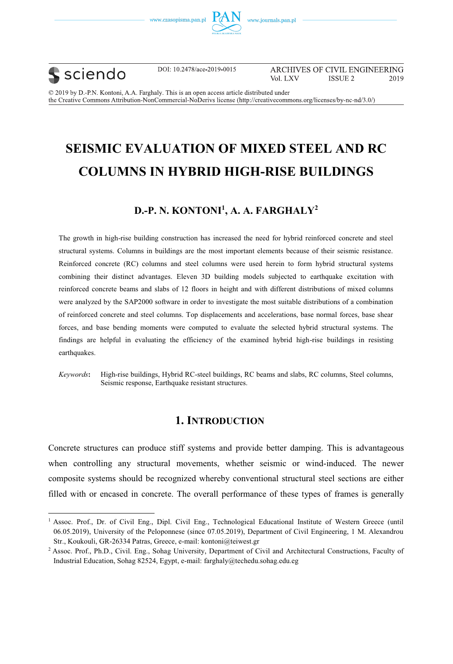





DOI: 10.2478/ace-2019-0015

ARCHIVES OF CIVIL ENGINEERING Vol. LXV **ISSUE 2** 2019

© 2019 by D. P.N. Kontoni, A.A. Farghaly. This is an open access article distributed under the Creative Commons Attribution-NonCommercial-NoDerivs license (http://creativecommons.org/licenses/by-nc-nd/3.0/)

### **SEISMIC EVALUATION OF MIXED STEEL AND RC SEISMIC EVALUATION OF MIXED STEEL AND RC COLUMNS IN HYBRID HIGH-RISE BUILDINGS**

## **D.-P. N. KONTONI<sup>1</sup> , A. A. FARGHALY<sup>2</sup>**

The growth in high-rise building construction has increased the need for hybrid reinforced concrete and steel structural systems. Columns in buildings are the most important elements because of their seismic resistance. Reinforced concrete (RC) columns and steel columns were used herein to form hybrid structural systems combining their distinct advantages. Eleven 3D building models subjected to earthquake excitation with reinforced concrete beams and slabs of 12 floors in height and with different distributions of mixed columns were analyzed by the SAP2000 software in order to investigate the most suitable distributions of a combination of reinforced concrete and steel columns. Top displacements and accelerations, base normal forces, base shear forces, and base bending moments were computed to evaluate the selected hybrid structural systems. The findings are helpful in evaluating the efficiency of the examined hybrid high-rise buildings in resisting earthquakes.

*Keywords***:** High-rise buildings, Hybrid RC-steel buildings, RC beams and slabs, RC columns, Steel columns, Seismic response, Earthquake resistant structures.

### **1. INTRODUCTION 1. INTRODUCTION**

Concrete structures can produce stiff systems and provide better damping. This is advantageous when controlling any structural movements, whether seismic or wind-induced. The newer composite systems should be recognized whereby conventional structural steel sections are either filled with or encased in concrete. The overall performance of these types of frames is generally

<sup>&</sup>lt;sup>1</sup> Assoc. Prof., Dr. of Civil Eng., Dipl. Civil Eng., Technological Educational Institute of Western Greece (until 06.05.2019), University of the Peloponnese (since 07.05.2019), Department of Civil Engineering, 1 M. Alexandrou Str., Koukouli, GR-26334 Patras, Greece, e-mail: kontoni@teiwest.gr

<sup>&</sup>lt;sup>2</sup> Assoc. Prof., Ph.D., Civil. Eng., Sohag University, Department of Civil and Architectural Constructions, Faculty of Industrial Education, Sohag 82524, Egypt, e-mail: farghaly@techedu.sohag.edu.eg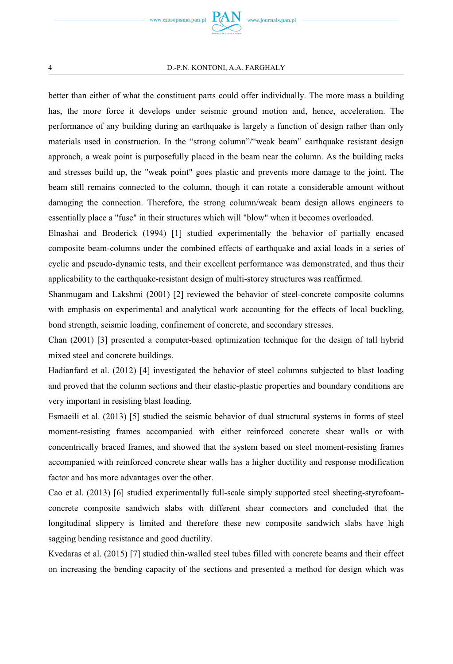

#### 4 D.-P.N. KONTONI, A.A. FARGHALY

better than either of what the constituent parts could offer individually. The more mass a building has, the more force it develops under seismic ground motion and, hence, acceleration. The performance of any building during an earthquake is largely a function of design rather than only materials used in construction. In the "strong column"/"weak beam" earthquake resistant design approach, a weak point is purposefully placed in the beam near the column. As the building racks and stresses build up, the "weak point" goes plastic and prevents more damage to the joint. The beam still remains connected to the column, though it can rotate a considerable amount without damaging the connection. Therefore, the strong column/weak beam design allows engineers to essentially place a "fuse" in their structures which will "blow" when it becomes overloaded.

Elnashai and Broderick (1994) [1] studied experimentally the behavior of partially encased composite beam-columns under the combined effects of earthquake and axial loads in a series of cyclic and pseudo-dynamic tests, and their excellent performance was demonstrated, and thus their applicability to the earthquake-resistant design of multi-storey structures was reaffirmed.

Shanmugam and Lakshmi (2001) [2] reviewed the behavior of steel-concrete composite columns with emphasis on experimental and analytical work accounting for the effects of local buckling, bond strength, seismic loading, confinement of concrete, and secondary stresses.

Chan (2001) [3] presented a computer-based optimization technique for the design of tall hybrid mixed steel and concrete buildings.

Hadianfard et al. (2012) [4] investigated the behavior of steel columns subjected to blast loading and proved that the column sections and their elastic-plastic properties and boundary conditions are very important in resisting blast loading.

Esmaeili et al. (2013) [5] studied the seismic behavior of dual structural systems in forms of steel moment-resisting frames accompanied with either reinforced concrete shear walls or with concentrically braced frames, and showed that the system based on steel moment-resisting frames accompanied with reinforced concrete shear walls has a higher ductility and response modification factor and has more advantages over the other.

Cao et al. (2013) [6] studied experimentally full-scale simply supported steel sheeting-styrofoamconcrete composite sandwich slabs with different shear connectors and concluded that the longitudinal slippery is limited and therefore these new composite sandwich slabs have high sagging bending resistance and good ductility.

Kvedaras et al. (2015) [7] studied thin-walled steel tubes filled with concrete beams and their effect on increasing the bending capacity of the sections and presented a method for design which was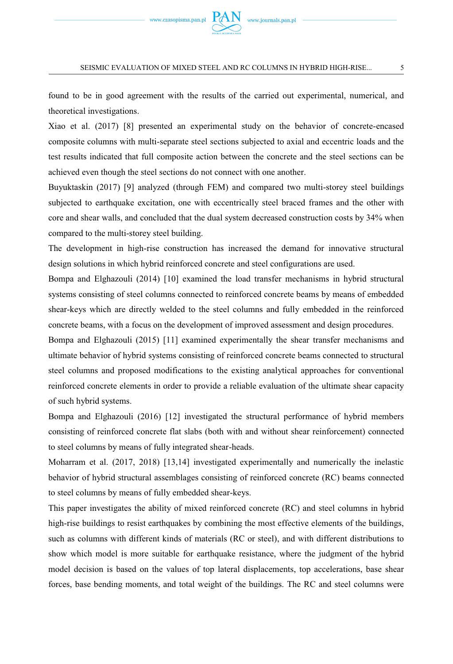

found to be in good agreement with the results of the carried out experimental, numerical, and theoretical investigations.

Xiao et al. (2017) [8] presented an experimental study on the behavior of concrete-encased composite columns with multi-separate steel sections subjected to axial and eccentric loads and the test results indicated that full composite action between the concrete and the steel sections can be achieved even though the steel sections do not connect with one another.

Buyuktaskin (2017) [9] analyzed (through FEM) and compared two multi-storey steel buildings subjected to earthquake excitation, one with eccentrically steel braced frames and the other with core and shear walls, and concluded that the dual system decreased construction costs by 34% when compared to the multi-storey steel building.

The development in high-rise construction has increased the demand for innovative structural design solutions in which hybrid reinforced concrete and steel configurations are used.

Bompa and Elghazouli (2014) [10] examined the load transfer mechanisms in hybrid structural systems consisting of steel columns connected to reinforced concrete beams by means of embedded shear-keys which are directly welded to the steel columns and fully embedded in the reinforced concrete beams, with a focus on the development of improved assessment and design procedures.

Bompa and Elghazouli (2015) [11] examined experimentally the shear transfer mechanisms and ultimate behavior of hybrid systems consisting of reinforced concrete beams connected to structural steel columns and proposed modifications to the existing analytical approaches for conventional reinforced concrete elements in order to provide a reliable evaluation of the ultimate shear capacity of such hybrid systems.

Bompa and Elghazouli (2016) [12] investigated the structural performance of hybrid members consisting of reinforced concrete flat slabs (both with and without shear reinforcement) connected to steel columns by means of fully integrated shear-heads.

Moharram et al. (2017, 2018) [13,14] investigated experimentally and numerically the inelastic behavior of hybrid structural assemblages consisting of reinforced concrete (RC) beams connected to steel columns by means of fully embedded shear-keys.

This paper investigates the ability of mixed reinforced concrete (RC) and steel columns in hybrid high-rise buildings to resist earthquakes by combining the most effective elements of the buildings, such as columns with different kinds of materials (RC or steel), and with different distributions to show which model is more suitable for earthquake resistance, where the judgment of the hybrid model decision is based on the values of top lateral displacements, top accelerations, base shear forces, base bending moments, and total weight of the buildings. The RC and steel columns were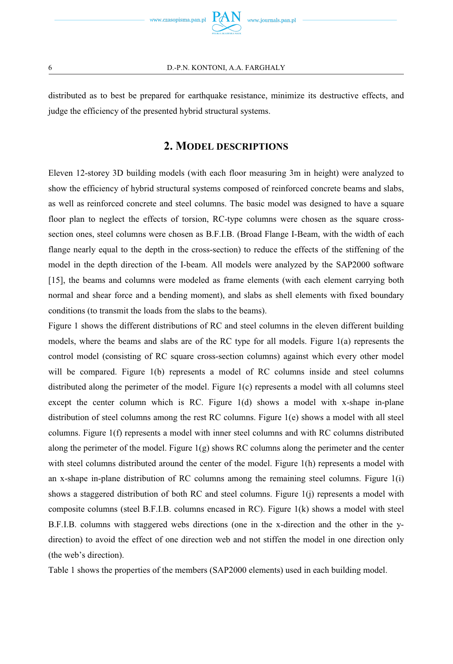



distributed as to best be prepared for earthquake resistance, minimize its destructive effects, and judge the efficiency of the presented hybrid structural systems.

### 2. MODEL DESCRIPTIONS **2. MODEL DESCRIPTIONS**

Eleven 12-storey 3D building models (with each floor measuring 3m in height) were analyzed to show the efficiency of hybrid structural systems composed of reinforced concrete beams and slabs, as well as reinforced concrete and steel columns. The basic model was designed to have a square floor plan to neglect the effects of torsion, RC-type columns were chosen as the square crosssection ones, steel columns were chosen as B.F.I.B. (Broad Flange I-Beam, with the width of each flange nearly equal to the depth in the cross-section) to reduce the effects of the stiffening of the model in the depth direction of the I-beam. All models were analyzed by the SAP2000 software [15], the beams and columns were modeled as frame elements (with each element carrying both normal and shear force and a bending moment), and slabs as shell elements with fixed boundary conditions (to transmit the loads from the slabs to the beams).

Figure 1 shows the different distributions of RC and steel columns in the eleven different building models, where the beams and slabs are of the RC type for all models. Figure 1(a) represents the control model (consisting of RC square cross-section columns) against which every other model will be compared. Figure 1(b) represents a model of RC columns inside and steel columns distributed along the perimeter of the model. Figure 1(c) represents a model with all columns steel except the center column which is RC. Figure 1(d) shows a model with x-shape in-plane distribution of steel columns among the rest RC columns. Figure 1(e) shows a model with all steel columns. Figure 1(f) represents a model with inner steel columns and with RC columns distributed along the perimeter of the model. Figure  $1(g)$  shows RC columns along the perimeter and the center with steel columns distributed around the center of the model. Figure 1(h) represents a model with an x-shape in-plane distribution of RC columns among the remaining steel columns. Figure 1(i) shows a staggered distribution of both RC and steel columns. Figure  $1(i)$  represents a model with composite columns (steel B.F.I.B. columns encased in RC). Figure 1(k) shows a model with steel B.F.I.B. columns with staggered webs directions (one in the x-direction and the other in the ydirection) to avoid the effect of one direction web and not stiffen the model in one direction only (the web's direction).

Table 1 shows the properties of the members (SAP2000 elements) used in each building model.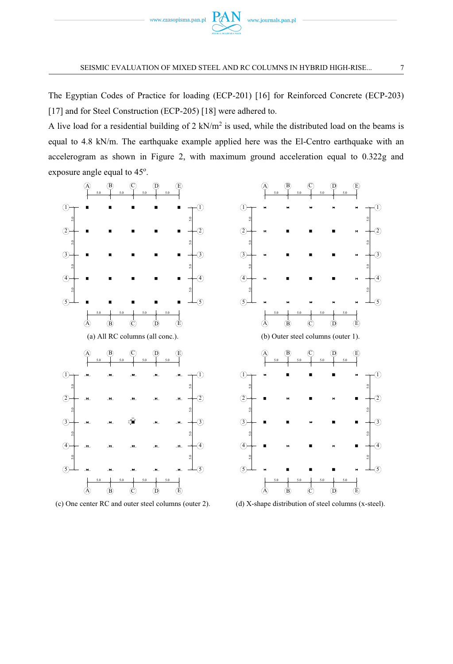

The Egyptian Codes of Practice for loading (ECP-201) [16] for Reinforced Concrete (ECP-203) [17] and for Steel Construction (ECP-205) [18] were adhered to.

A live load for a residential building of 2 kN/m<sup>2</sup> is used, while the distributed load on the beams is equal to 4.8 kN/m. The earthquake example applied here was the El-Centro earthquake with an accelerogram as shown in Figure 2, with maximum ground acceleration equal to 0.322g and exposure angle equal to 45°.



(c) One center RC and outer steel columns (outer 2). (d) X-shape distribution of steel columns (x-steel).

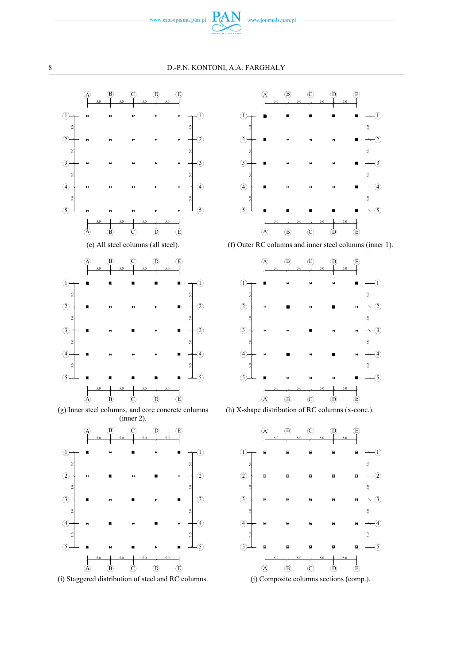







(h) X-shape distribution of RC columns (x-conc.).

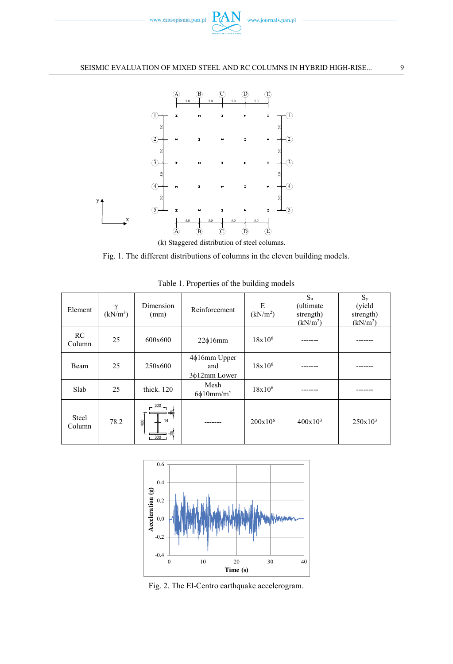



(k) Staggered distribution of steel columns.

Fig. 1. The different distributions of columns in the eleven building models.

| Element         | $\gamma$<br>$(kN/m^3)$ | Dimension<br>(mm)                     | Reinforcement                             | E<br>(kN/m <sup>2</sup> ) | $S_{u}$<br>(ultimate)<br>strength)<br>(kN/m <sup>2</sup> ) | $S_{v}$<br>(yield<br>strength)<br>(kN/m <sup>2</sup> ) |
|-----------------|------------------------|---------------------------------------|-------------------------------------------|---------------------------|------------------------------------------------------------|--------------------------------------------------------|
| RC<br>Column    | 25                     | 600x600                               | $22\phi16$ mm                             | $18x10^6$                 |                                                            |                                                        |
| Beam            | 25                     | 250x600                               | $4\phi16$ mm Upper<br>and<br>3¢12mm Lower | $18x10^6$                 |                                                            |                                                        |
| Slab            | 25                     | thick. 120                            | Mesh<br>$6\phi10mm/m'$                    | $18x10^6$                 |                                                            |                                                        |
| Steel<br>Column | 78.2                   | $-300$<br>14<br>$rac{1}{2}$<br>$-300$ |                                           | 200x10 <sup>6</sup>       | $400x10^3$                                                 | $250x10^3$                                             |

Table 1. Properties of the building models



Fig. 2. The El-Centro earthquake accelerogram.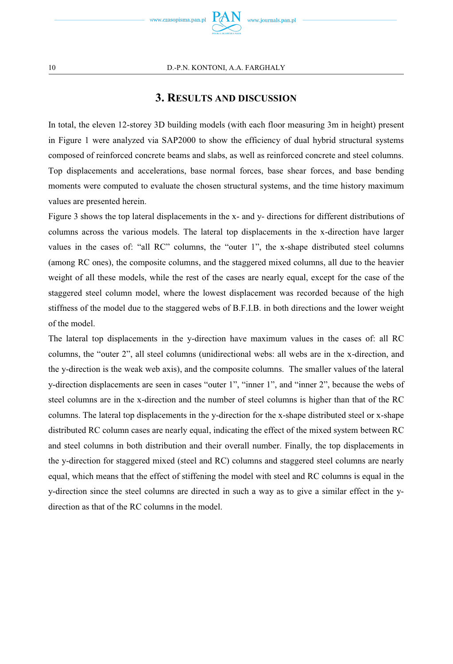

## **3. RESULTS AND DISCUSSION**

In total, the eleven 12-storey 3D building models (with each floor measuring 3m in height) present in Figure 1 were analyzed via SAP2000 to show the efficiency of dual hybrid structural systems composed of reinforced concrete beams and slabs, as well as reinforced concrete and steel columns. Top displacements and accelerations, base normal forces, base shear forces, and base bending moments were computed to evaluate the chosen structural systems, and the time history maximum values are presented herein.

Figure 3 shows the top lateral displacements in the x- and y- directions for different distributions of columns across the various models. The lateral top displacements in the x-direction have larger values in the cases of: "all RC" columns, the "outer 1", the x-shape distributed steel columns (among RC ones), the composite columns, and the staggered mixed columns, all due to the heavier weight of all these models, while the rest of the cases are nearly equal, except for the case of the staggered steel column model, where the lowest displacement was recorded because of the high stiffness of the model due to the staggered webs of B.F.I.B. in both directions and the lower weight of the model.

The lateral top displacements in the y-direction have maximum values in the cases of: all RC columns, the "outer 2", all steel columns (unidirectional webs: all webs are in the x-direction, and the y-direction is the weak web axis), and the composite columns. The smaller values of the lateral y-direction displacements are seen in cases "outer 1", "inner 1", and "inner 2", because the webs of steel columns are in the x-direction and the number of steel columns is higher than that of the RC columns. The lateral top displacements in the y-direction for the x-shape distributed steel or x-shape distributed RC column cases are nearly equal, indicating the effect of the mixed system between RC and steel columns in both distribution and their overall number. Finally, the top displacements in the y-direction for staggered mixed (steel and RC) columns and staggered steel columns are nearly equal, which means that the effect of stiffening the model with steel and RC columns is equal in the y-direction since the steel columns are directed in such a way as to give a similar effect in the ydirection as that of the RC columns in the model.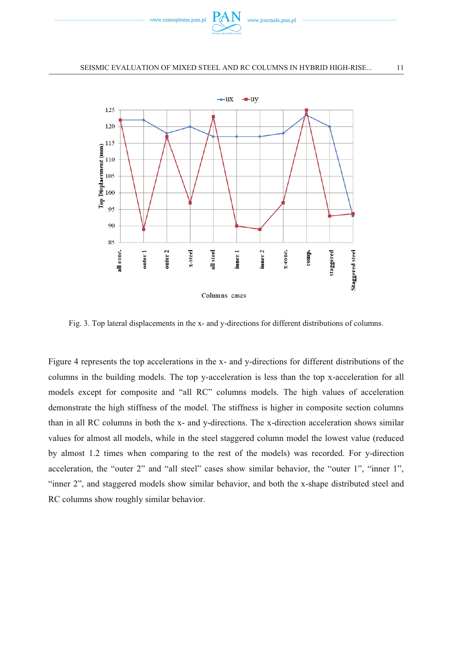



Fig. 3. Top lateral displacements in the x- and y-directions for different distributions of columns.

Figure 4 represents the top accelerations in the x- and y-directions for different distributions of the columns in the building models. The top y-acceleration is less than the top x-acceleration for all models except for composite and "all RC" columns models. The high values of acceleration demonstrate the high stiffness of the model. The stiffness is higher in composite section columns than in all RC columns in both the x- and y-directions. The x-direction acceleration shows similar values for almost all models, while in the steel staggered column model the lowest value (reduced by almost 1.2 times when comparing to the rest of the models) was recorded. For y-direction acceleration, the "outer 2" and "all steel" cases show similar behavior, the "outer 1", "inner 1", "inner 2", and staggered models show similar behavior, and both the x-shape distributed steel and RC columns show roughly similar behavior.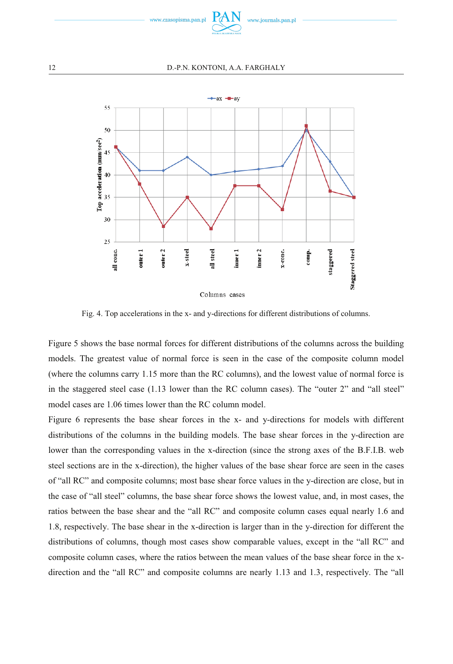

#### 12 D.-P.N. KONTONI, A.A. FARGHALY



Fig. 4. Top accelerations in the x- and y-directions for different distributions of columns.

Figure 5 shows the base normal forces for different distributions of the columns across the building models. The greatest value of normal force is seen in the case of the composite column model (where the columns carry 1.15 more than the RC columns), and the lowest value of normal force is in the staggered steel case (1.13 lower than the RC column cases). The "outer 2" and "all steel" model cases are 1.06 times lower than the RC column model.

Figure 6 represents the base shear forces in the x- and y-directions for models with different distributions of the columns in the building models. The base shear forces in the y-direction are lower than the corresponding values in the x-direction (since the strong axes of the B.F.I.B. web steel sections are in the x-direction), the higher values of the base shear force are seen in the cases of "all RC" and composite columns; most base shear force values in the y-direction are close, but in the case of "all steel" columns, the base shear force shows the lowest value, and, in most cases, the ratios between the base shear and the "all RC" and composite column cases equal nearly 1.6 and 1.8, respectively. The base shear in the x-direction is larger than in the y-direction for different the distributions of columns, though most cases show comparable values, except in the "all RC" and composite column cases, where the ratios between the mean values of the base shear force in the xdirection and the "all RC" and composite columns are nearly 1.13 and 1.3, respectively. The "all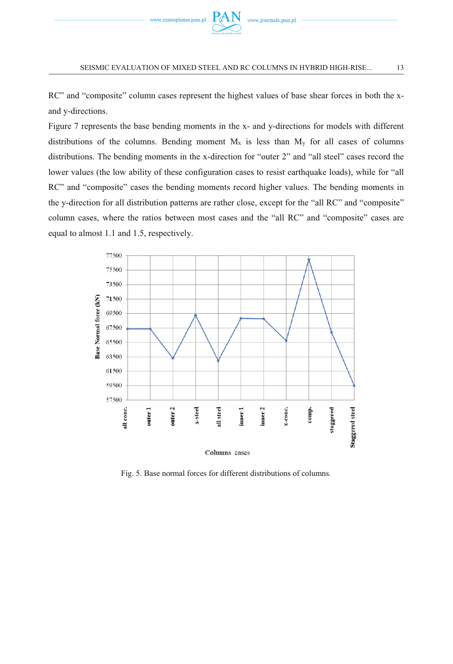

RC" and "composite" column cases represent the highest values of base shear forces in both the xand y-directions.

Figure 7 represents the base bending moments in the x- and y-directions for models with different distributions of the columns. Bending moment  $M_x$  is less than  $M_y$  for all cases of columns distributions. The bending moments in the x-direction for "outer 2" and "all steel" cases record the lower values (the low ability of these configuration cases to resist earthquake loads), while for "all RC" and "composite" cases the bending moments record higher values. The bending moments in the y-direction for all distribution patterns are rather close, except for the "all RC" and "composite" column cases, where the ratios between most cases and the "all RC" and "composite" cases are equal to almost 1.1 and 1.5, respectively.



Fig. 5. Base normal forces for different distributions of columns.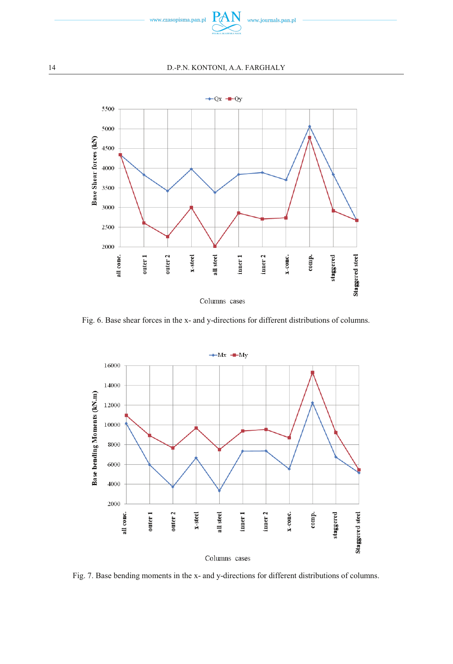

#### 14 D.-P.N. KONTONI, A.A. FARGHALY



Fig. 6. Base shear forces in the x- and y-directions for different distributions of columns.



Fig. 7. Base bending moments in the x- and y-directions for different distributions of columns.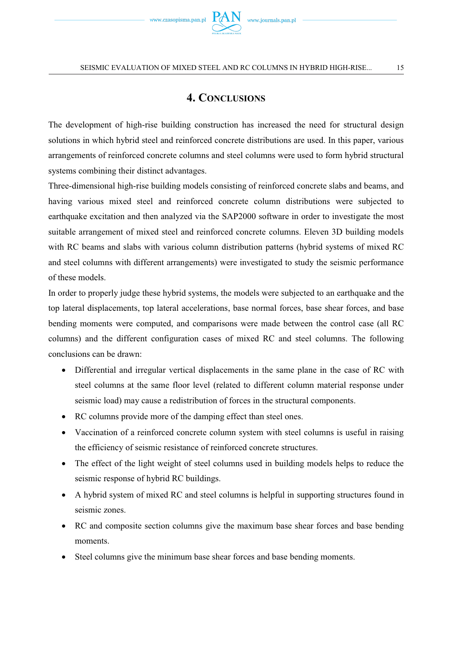

# **4. CONCLUSIONS**

The development of high-rise building construction has increased the need for structural design solutions in which hybrid steel and reinforced concrete distributions are used. In this paper, various arrangements of reinforced concrete columns and steel columns were used to form hybrid structural systems combining their distinct advantages.

Three-dimensional high-rise building models consisting of reinforced concrete slabs and beams, and having various mixed steel and reinforced concrete column distributions were subjected to earthquake excitation and then analyzed via the SAP2000 software in order to investigate the most suitable arrangement of mixed steel and reinforced concrete columns. Eleven 3D building models with RC beams and slabs with various column distribution patterns (hybrid systems of mixed RC and steel columns with different arrangements) were investigated to study the seismic performance of these models.

In order to properly judge these hybrid systems, the models were subjected to an earthquake and the top lateral displacements, top lateral accelerations, base normal forces, base shear forces, and base bending moments were computed, and comparisons were made between the control case (all RC columns) and the different configuration cases of mixed RC and steel columns. The following conclusions can be drawn:

- Differential and irregular vertical displacements in the same plane in the case of RC with steel columns at the same floor level (related to different column material response under seismic load) may cause a redistribution of forces in the structural components.
- RC columns provide more of the damping effect than steel ones.
- Vaccination of a reinforced concrete column system with steel columns is useful in raising the efficiency of seismic resistance of reinforced concrete structures.
- The effect of the light weight of steel columns used in building models helps to reduce the seismic response of hybrid RC buildings.
- A hybrid system of mixed RC and steel columns is helpful in supporting structures found in seismic zones.
- RC and composite section columns give the maximum base shear forces and base bending moments.
- Steel columns give the minimum base shear forces and base bending moments.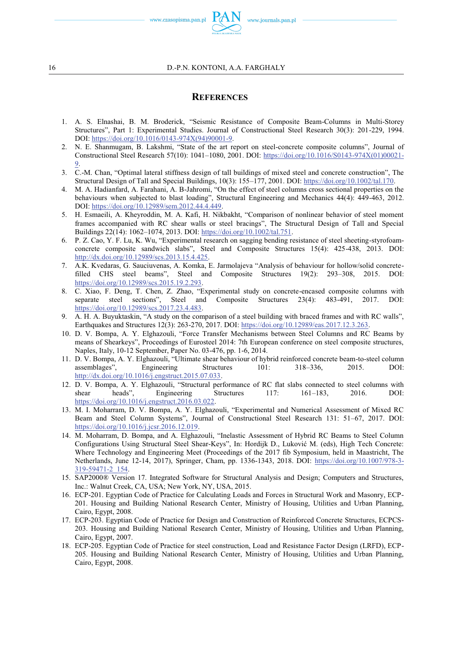www.czasopisma.pan.pl

- 1. A. S. Elnashai, B. M. Broderick, "Seismic Resistance of Composite Beam-Columns in Multi-Storey Structures", Part 1: Experimental Studies. Journal of Constructional Steel Research 30(3): 201-229, 1994. DOI: https://doi.org/10.1016/0143-974X(94)90001-9.
- 2. N. E. Shanmugam, B. Lakshmi, "State of the art report on steel-concrete composite columns", Journal of Constructional Steel Research 57(10): 1041–1080, 2001. DOI: https://doi.org/10.1016/S0143-974X(01)00021- 9.
- 3. C.-M. Chan, "Optimal lateral stiffness design of tall buildings of mixed steel and concrete construction", The Structural Design of Tall and Special Buildings, 10(3): 155–177, 2001. DOI: https://doi.org/10.1002/tal.170.
- 4. M. A. Hadianfard, A. Farahani, A. B-Jahromi, "On the effect of steel columns cross sectional properties on the behaviours when subjected to blast loading", Structural Engineering and Mechanics 44(4): 449-463, 2012. DOI: https://doi.org/10.12989/sem.2012.44.4.449.
- 5. H. Esmaeili, A. Kheyroddin, M. A. Kafi, H. Nikbakht, "Comparison of nonlinear behavior of steel moment frames accompanied with RC shear walls or steel bracings", The Structural Design of Tall and Special Buildings 22(14): 1062–1074, 2013. DOI: https://doi.org/10.1002/tal.751.
- 6. P. Z. Cao, Y. F. Lu, K. Wu, "Experimental research on sagging bending resistance of steel sheeting-styrofoamconcrete composite sandwich slabs", Steel and Composite Structures 15(4): 425-438, 2013. DOI: http://dx.doi.org/10.12989/scs.2013.15.4.425.
- 7. A.K. Kvedaras, G. Sauciuvenas, A. Komka, E. Jarmolajeva "Analysis of behaviour for hollow/solid concretefilled CHS steel beams", Steel and Composite Structures 19(2): 293–308, 2015. DOI: https://doi.org/10.12989/scs.2015.19.2.293.
- 8. C. Xiao, F. Deng, T. Chen, Z. Zhao, "Experimental study on concrete-encased composite columns with separate steel sections", Steel and Composite Structures 23(4): 483-491, 2017. DOI: https://doi.org/10.12989/scs.2017.23.4.483.
- 9. A. H. A. Buyuktaskin, "A study on the comparison of a steel building with braced frames and with RC walls", Earthquakes and Structures 12(3): 263-270, 2017. DOI: https://doi.org/10.12989/eas.2017.12.3.263.
- 10. D. V. Bompa, A. Y. Elghazouli, "Force Transfer Mechanisms between Steel Columns and RC Beams by means of Shearkeys", Proceedings of Eurosteel 2014: 7th European conference on steel composite structures, Naples, Italy, 10-12 September, Paper No. 03-476, pp. 1-6, 2014.
- 11. D. V. Bompa, A. Y. Elghazouli, "Ultimate shear behaviour of hybrid reinforced concrete beam-to-steel column assemblages", Engineering Structures 101: 318–336, 2015. DOI: http://dx.doi.org/10.1016/j.engstruct.2015.07.033.
- 12. D. V. Bompa, A. Y. Elghazouli, "Structural performance of RC flat slabs connected to steel columns with shear heads", Engineering Structures 117: 161–183, 2016. DOI: https://doi.org/10.1016/j.engstruct.2016.03.022.
- 13. M. I. Moharram, D. V. Bompa, A. Y. Elghazouli, "Experimental and Numerical Assessment of Mixed RC Beam and Steel Column Systems", Journal of Constructional Steel Research 131: 51–67, 2017. DOI: https://doi.org/10.1016/j.jcsr.2016.12.019.
- 14. M. Moharram, D. Bompa, and A. Elghazouli, "Inelastic Assessment of Hybrid RC Beams to Steel Column Configurations Using Structural Steel Shear-Keys", In: Hordijk D., Luković M. (eds), High Tech Concrete: Where Technology and Engineering Meet (Proceedings of the 2017 fib Symposium, held in Maastricht, The Netherlands, June 12-14, 2017), Springer, Cham, pp. 1336-1343, 2018. DOI: https://doi.org/10.1007/978-3- 319-59471-2\_154.
- 15. SAP2000® Version 17. Integrated Software for Structural Analysis and Design; Computers and Structures, Inc.: Walnut Creek, CA, USA; New York, NY, USA, 2015.
- 16. ECP-201. Egyptian Code of Practice for Calculating Loads and Forces in Structural Work and Masonry, ECP-201. Housing and Building National Research Center, Ministry of Housing, Utilities and Urban Planning, Cairo, Egypt, 2008.
- 17. ECP-203. Egyptian Code of Practice for Design and Construction of Reinforced Concrete Structures, ECPCS-203. Housing and Building National Research Center, Ministry of Housing, Utilities and Urban Planning, Cairo, Egypt, 2007.
- 18. ECP-205. Egyptian Code of Practice for steel construction, Load and Resistance Factor Design (LRFD), ECP-205. Housing and Building National Research Center, Ministry of Housing, Utilities and Urban Planning, Cairo, Egypt, 2008.